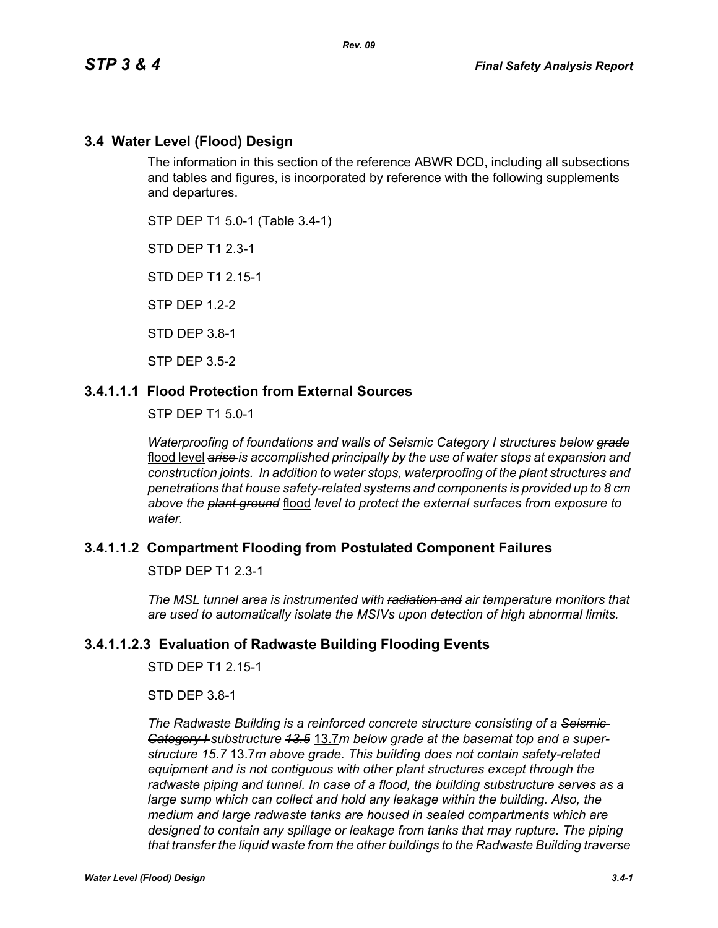# **3.4 Water Level (Flood) Design**

The information in this section of the reference ABWR DCD, including all subsections and tables and figures, is incorporated by reference with the following supplements and departures.

STP DEP T1 5.0-1 (Table 3.4-1)

STD DEP T1 2.3-1

STD DEP T1 2.15-1

STP DEP 1.2-2

STD DEP 3.8-1

STP DEP 3.5-2

## **3.4.1.1.1 Flood Protection from External Sources**

STP DEP T1 5.0-1

*Waterproofing of foundations and walls of Seismic Category I structures below grade* flood level *arise is accomplished principally by the use of water stops at expansion and construction joints. In addition to water stops, waterproofing of the plant structures and penetrations that house safety-related systems and components is provided up to 8 cm above the plant ground* flood *level to protect the external surfaces from exposure to water.*

#### **3.4.1.1.2 Compartment Flooding from Postulated Component Failures**

STDP DEP T1 2.3-1

*The MSL tunnel area is instrumented with radiation and air temperature monitors that are used to automatically isolate the MSIVs upon detection of high abnormal limits.*

#### **3.4.1.1.2.3 Evaluation of Radwaste Building Flooding Events**

STD DEP T1 2 15-1

STD DEP 3.8-1

*The Radwaste Building is a reinforced concrete structure consisting of a Seismic Category I substructure 13.5* 13.7*m below grade at the basemat top and a superstructure 15.7* 13.7*m above grade. This building does not contain safety-related equipment and is not contiguous with other plant structures except through the radwaste piping and tunnel. In case of a flood, the building substructure serves as a large sump which can collect and hold any leakage within the building. Also, the medium and large radwaste tanks are housed in sealed compartments which are designed to contain any spillage or leakage from tanks that may rupture. The piping that transfer the liquid waste from the other buildings to the Radwaste Building traverse*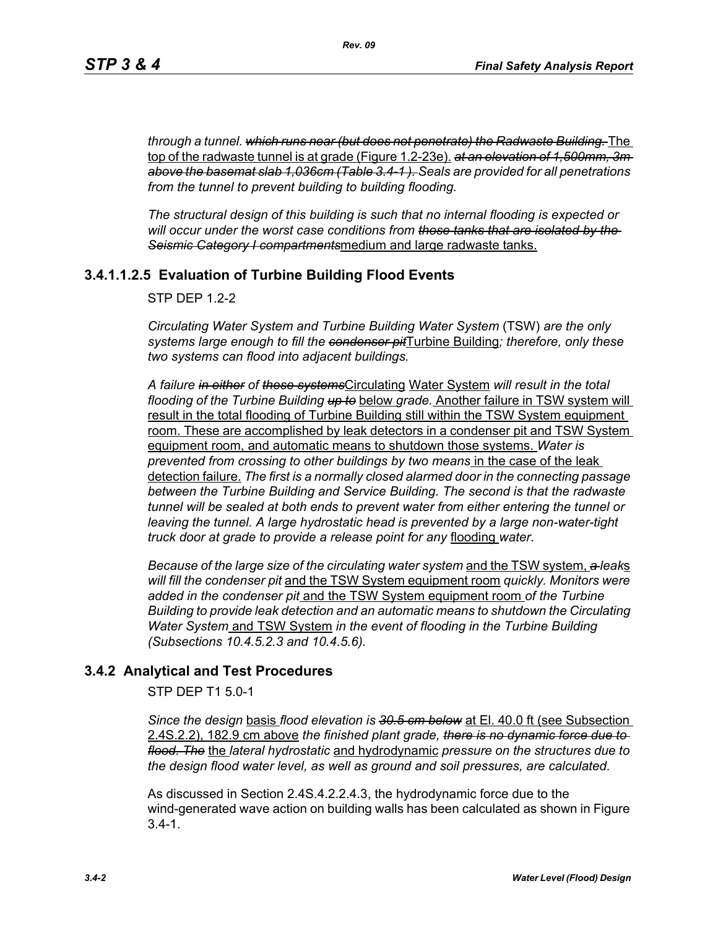*through a tunnel. which runs near (but does not penetrate) the Radwaste Building.* The top of the radwaste tunnel is at grade (Figure 1.2-23e). *at an elevation of 1,500mm, 3m above the basemat slab 1,036cm (Table 3.4-1 ). Seals are provided for all penetrations from the tunnel to prevent building to building flooding.*

*The structural design of this building is such that no internal flooding is expected or will occur under the worst case conditions from those tanks that are isolated by the Seismic Category I compartments*medium and large radwaste tanks.

# **3.4.1.1.2.5 Evaluation of Turbine Building Flood Events**

 $STP$  DFP 12-2

*Circulating Water System and Turbine Building Water System* (TSW) *are the only systems large enough to fill the condenser pit*Turbine Building*; therefore, only these two systems can flood into adjacent buildings.*

*A failure in either of these systems*Circulating Water System *will result in the total flooding of the Turbine Building up to* below *grade.* Another failure in TSW system will result in the total flooding of Turbine Building still within the TSW System equipment room. These are accomplished by leak detectors in a condenser pit and TSW System equipment room, and automatic means to shutdown those systems. *Water is prevented from crossing to other buildings by two means* in the case of the leak detection failure. *The first is a normally closed alarmed door in the connecting passage between the Turbine Building and Service Building. The second is that the radwaste tunnel will be sealed at both ends to prevent water from either entering the tunnel or leaving the tunnel. A large hydrostatic head is prevented by a large non-water-tight truck door at grade to provide a release point for any* flooding *water*.

*Because of the large size of the circulating water system* and the TSW system, *a leak*s *will fill the condenser pit* and the TSW System equipment room *quickly. Monitors were added in the condenser pit* and the TSW System equipment room *of the Turbine Building to provide leak detection and an automatic means to shutdown the Circulating Water System* and TSW System *in the event of flooding in the Turbine Building (Subsections 10.4.5.2.3 and 10.4.5.6).*

# **3.4.2 Analytical and Test Procedures**

STP DEP T1 5.0-1

*Since the design* basis *flood elevation is 30.5 cm below* at El. 40.0 ft (see Subsection 2.4S.2.2), 182.9 cm above *the finished plant grade, there is no dynamic force due to flood. The* the *lateral hydrostatic* and hydrodynamic *pressure on the structures due to the design flood water level, as well as ground and soil pressures, are calculated.*

As discussed in Section 2.4S.4.2.2.4.3, the hydrodynamic force due to the wind-generated wave action on building walls has been calculated as shown in Figure  $3.4 - 1.$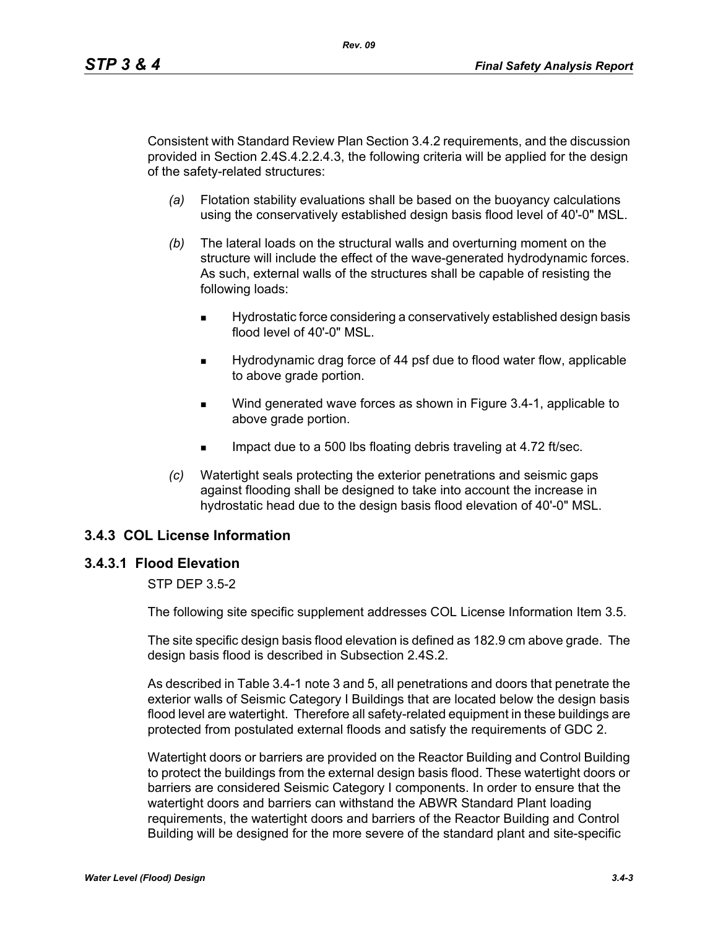Consistent with Standard Review Plan Section 3.4.2 requirements, and the discussion provided in Section 2.4S.4.2.2.4.3, the following criteria will be applied for the design of the safety-related structures:

- *(a)* Flotation stability evaluations shall be based on the buoyancy calculations using the conservatively established design basis flood level of 40'-0" MSL.
- *(b)* The lateral loads on the structural walls and overturning moment on the structure will include the effect of the wave-generated hydrodynamic forces. As such, external walls of the structures shall be capable of resisting the following loads:
	- Hydrostatic force considering a conservatively established design basis flood level of 40'-0" MSL.
	- Hydrodynamic drag force of 44 psf due to flood water flow, applicable to above grade portion.
	- Wind generated wave forces as shown in Figure 3.4-1, applicable to above grade portion.
	- Impact due to a 500 lbs floating debris traveling at 4.72 ft/sec.
- *(c)* Watertight seals protecting the exterior penetrations and seismic gaps against flooding shall be designed to take into account the increase in hydrostatic head due to the design basis flood elevation of 40'-0" MSL.

# **3.4.3 COL License Information**

#### **3.4.3.1 Flood Elevation**

#### STP DEP 3.5-2

The following site specific supplement addresses COL License Information Item 3.5.

The site specific design basis flood elevation is defined as 182.9 cm above grade. The design basis flood is described in Subsection 2.4S.2.

As described in Table 3.4-1 note 3 and 5, all penetrations and doors that penetrate the exterior walls of Seismic Category I Buildings that are located below the design basis flood level are watertight. Therefore all safety-related equipment in these buildings are protected from postulated external floods and satisfy the requirements of GDC 2.

Watertight doors or barriers are provided on the Reactor Building and Control Building to protect the buildings from the external design basis flood. These watertight doors or barriers are considered Seismic Category I components. In order to ensure that the watertight doors and barriers can withstand the ABWR Standard Plant loading requirements, the watertight doors and barriers of the Reactor Building and Control Building will be designed for the more severe of the standard plant and site-specific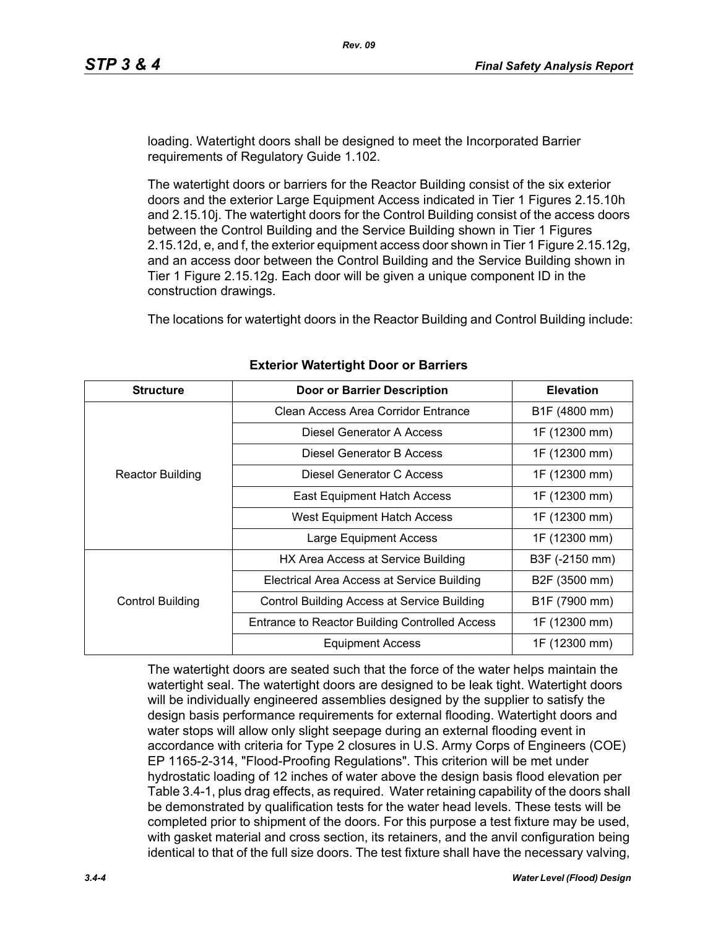loading. Watertight doors shall be designed to meet the Incorporated Barrier requirements of Regulatory Guide 1.102.

The watertight doors or barriers for the Reactor Building consist of the six exterior doors and the exterior Large Equipment Access indicated in Tier 1 Figures 2.15.10h and 2.15.10j. The watertight doors for the Control Building consist of the access doors between the Control Building and the Service Building shown in Tier 1 Figures 2.15.12d, e, and f, the exterior equipment access door shown in Tier 1 Figure 2.15.12g, and an access door between the Control Building and the Service Building shown in Tier 1 Figure 2.15.12g. Each door will be given a unique component ID in the construction drawings.

The locations for watertight doors in the Reactor Building and Control Building include:

| <b>Structure</b>        | <b>Door or Barrier Description</b>                    | <b>Elevation</b> |
|-------------------------|-------------------------------------------------------|------------------|
|                         | Clean Access Area Corridor Entrance                   | B1F (4800 mm)    |
|                         | Diesel Generator A Access                             | 1F (12300 mm)    |
| <b>Reactor Building</b> | Diesel Generator B Access                             | 1F (12300 mm)    |
|                         | Diesel Generator C Access                             | 1F (12300 mm)    |
|                         | <b>East Equipment Hatch Access</b>                    | 1F (12300 mm)    |
|                         | West Equipment Hatch Access                           | 1F (12300 mm)    |
|                         | <b>Large Equipment Access</b>                         | 1F (12300 mm)    |
|                         | HX Area Access at Service Building                    | B3F (-2150 mm)   |
|                         | Electrical Area Access at Service Building            | B2F (3500 mm)    |
| Control Building        | <b>Control Building Access at Service Building</b>    | B1F (7900 mm)    |
|                         | <b>Entrance to Reactor Building Controlled Access</b> | 1F (12300 mm)    |
|                         | <b>Equipment Access</b>                               | 1F (12300 mm)    |

#### **Exterior Watertight Door or Barriers**

The watertight doors are seated such that the force of the water helps maintain the watertight seal. The watertight doors are designed to be leak tight. Watertight doors will be individually engineered assemblies designed by the supplier to satisfy the design basis performance requirements for external flooding. Watertight doors and water stops will allow only slight seepage during an external flooding event in accordance with criteria for Type 2 closures in U.S. Army Corps of Engineers (COE) EP 1165-2-314, "Flood-Proofing Regulations". This criterion will be met under hydrostatic loading of 12 inches of water above the design basis flood elevation per Table 3.4-1, plus drag effects, as required. Water retaining capability of the doors shall be demonstrated by qualification tests for the water head levels. These tests will be completed prior to shipment of the doors. For this purpose a test fixture may be used, with gasket material and cross section, its retainers, and the anvil configuration being identical to that of the full size doors. The test fixture shall have the necessary valving,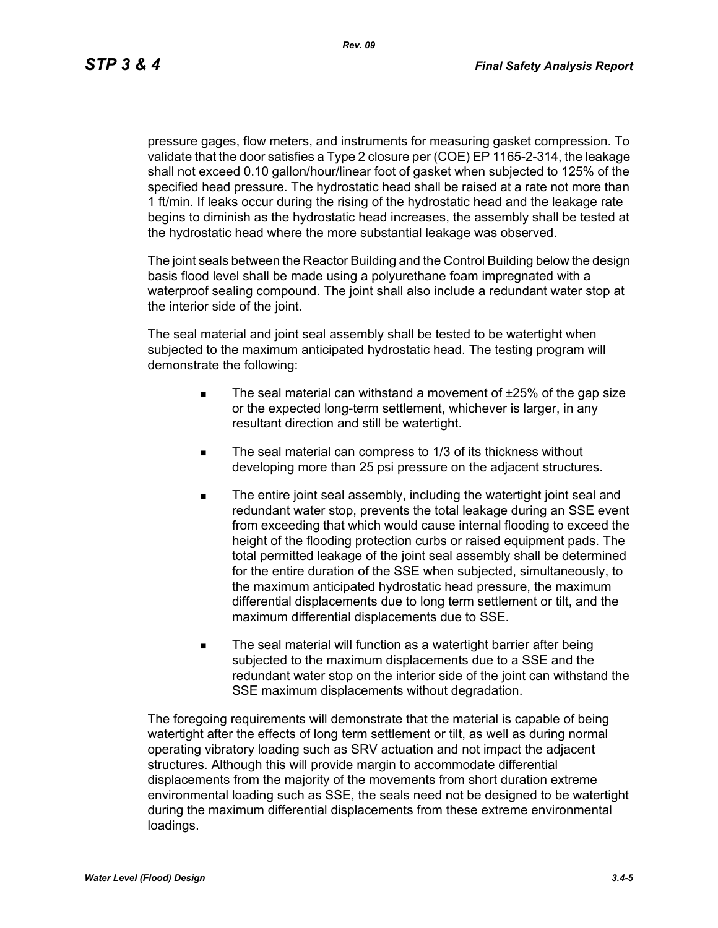pressure gages, flow meters, and instruments for measuring gasket compression. To validate that the door satisfies a Type 2 closure per (COE) EP 1165-2-314, the leakage shall not exceed 0.10 gallon/hour/linear foot of gasket when subjected to 125% of the specified head pressure. The hydrostatic head shall be raised at a rate not more than 1 ft/min. If leaks occur during the rising of the hydrostatic head and the leakage rate begins to diminish as the hydrostatic head increases, the assembly shall be tested at the hydrostatic head where the more substantial leakage was observed.

The joint seals between the Reactor Building and the Control Building below the design basis flood level shall be made using a polyurethane foam impregnated with a waterproof sealing compound. The joint shall also include a redundant water stop at the interior side of the joint.

The seal material and joint seal assembly shall be tested to be watertight when subjected to the maximum anticipated hydrostatic head. The testing program will demonstrate the following:

- The seal material can withstand a movement of  $±25%$  of the gap size or the expected long-term settlement, whichever is larger, in any resultant direction and still be watertight.
- The seal material can compress to 1/3 of its thickness without developing more than 25 psi pressure on the adjacent structures.
- The entire joint seal assembly, including the watertight joint seal and redundant water stop, prevents the total leakage during an SSE event from exceeding that which would cause internal flooding to exceed the height of the flooding protection curbs or raised equipment pads. The total permitted leakage of the joint seal assembly shall be determined for the entire duration of the SSE when subjected, simultaneously, to the maximum anticipated hydrostatic head pressure, the maximum differential displacements due to long term settlement or tilt, and the maximum differential displacements due to SSE.
- The seal material will function as a watertight barrier after being subjected to the maximum displacements due to a SSE and the redundant water stop on the interior side of the joint can withstand the SSE maximum displacements without degradation.

The foregoing requirements will demonstrate that the material is capable of being watertight after the effects of long term settlement or tilt, as well as during normal operating vibratory loading such as SRV actuation and not impact the adjacent structures. Although this will provide margin to accommodate differential displacements from the majority of the movements from short duration extreme environmental loading such as SSE, the seals need not be designed to be watertight during the maximum differential displacements from these extreme environmental loadings.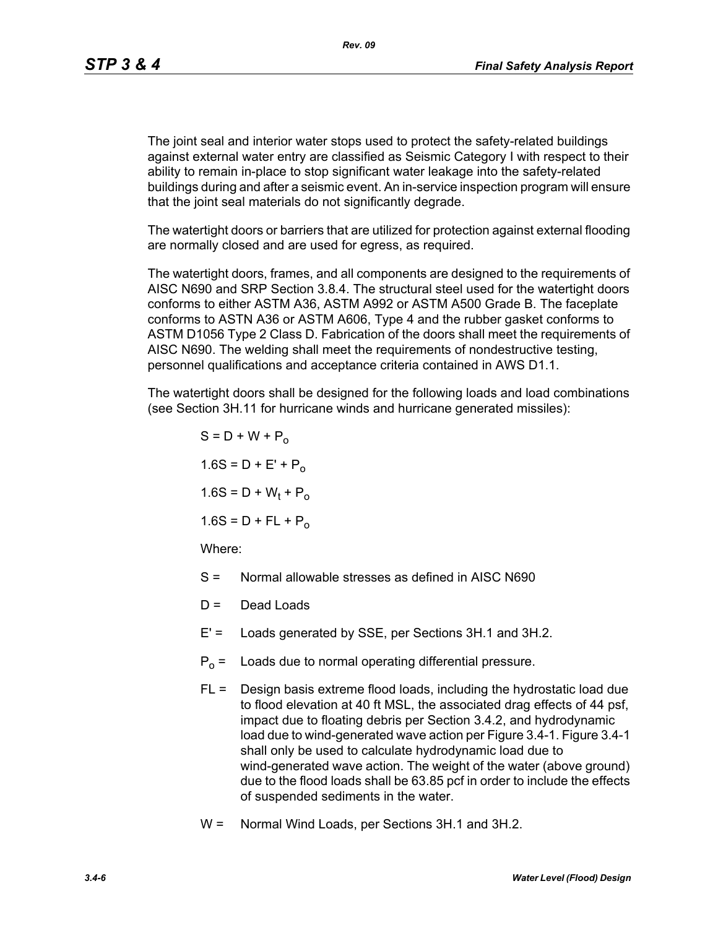*Rev. 09*

The joint seal and interior water stops used to protect the safety-related buildings against external water entry are classified as Seismic Category I with respect to their ability to remain in-place to stop significant water leakage into the safety-related buildings during and after a seismic event. An in-service inspection program will ensure that the joint seal materials do not significantly degrade.

The watertight doors or barriers that are utilized for protection against external flooding are normally closed and are used for egress, as required.

The watertight doors, frames, and all components are designed to the requirements of AISC N690 and SRP Section 3.8.4. The structural steel used for the watertight doors conforms to either ASTM A36, ASTM A992 or ASTM A500 Grade B. The faceplate conforms to ASTN A36 or ASTM A606, Type 4 and the rubber gasket conforms to ASTM D1056 Type 2 Class D. Fabrication of the doors shall meet the requirements of AISC N690. The welding shall meet the requirements of nondestructive testing, personnel qualifications and acceptance criteria contained in AWS D1.1.

The watertight doors shall be designed for the following loads and load combinations (see Section 3H.11 for hurricane winds and hurricane generated missiles):

$$
S = D + W + P_0
$$
  
1.6S = D + E' + P\_0  
1.6S = D + W<sub>t</sub> + P<sub>o</sub>  
1.6S = D + FL + P<sub>o</sub>  
Where:

- S = Normal allowable stresses as defined in AISC N690
- $D =$  Dead Loads
- E' = Loads generated by SSE, per Sections 3H.1 and 3H.2.
- $P_0$  = Loads due to normal operating differential pressure.
- $FL =$  Design basis extreme flood loads, including the hydrostatic load due to flood elevation at 40 ft MSL, the associated drag effects of 44 psf, impact due to floating debris per Section 3.4.2, and hydrodynamic load due to wind-generated wave action per Figure 3.4-1. Figure 3.4-1 shall only be used to calculate hydrodynamic load due to wind-generated wave action. The weight of the water (above ground) due to the flood loads shall be 63.85 pcf in order to include the effects of suspended sediments in the water.
- W = Normal Wind Loads, per Sections 3H.1 and 3H.2.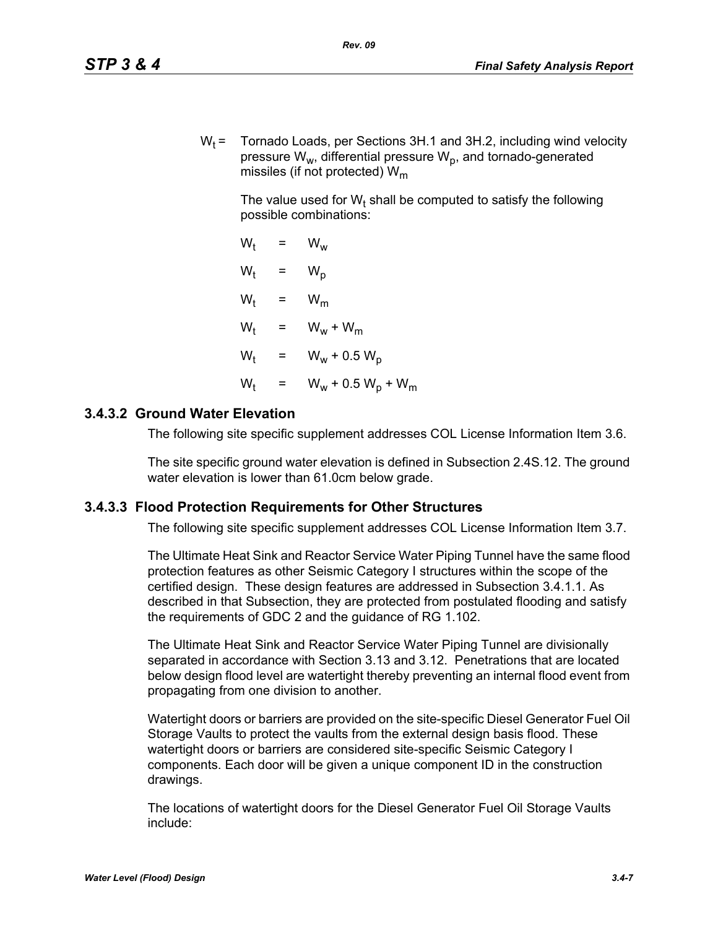$W_t$  = Tornado Loads, per Sections 3H.1 and 3H.2, including wind velocity pressure  $W_w$ , differential pressure  $W_p$ , and tornado-generated missiles (if not protected)  $W_m$ 

The value used for W<sub>t</sub> shall be computed to satisfy the following possible combinations:

 $W_t = W_w$  $W_t$  $= W_p$  $W_t$  =  $W_m$  $W_t$  =  $W_w + W_m$  $W_t$  =  $W_w + 0.5 W_p$  $W_{t}$ =  $W_w + 0.5 W_p + W_m$ 

## **3.4.3.2 Ground Water Elevation**

The following site specific supplement addresses COL License Information Item 3.6.

The site specific ground water elevation is defined in Subsection 2.4S.12. The ground water elevation is lower than 61.0cm below grade.

#### **3.4.3.3 Flood Protection Requirements for Other Structures**

The following site specific supplement addresses COL License Information Item 3.7.

The Ultimate Heat Sink and Reactor Service Water Piping Tunnel have the same flood protection features as other Seismic Category I structures within the scope of the certified design. These design features are addressed in Subsection 3.4.1.1. As described in that Subsection, they are protected from postulated flooding and satisfy the requirements of GDC 2 and the guidance of RG 1.102.

The Ultimate Heat Sink and Reactor Service Water Piping Tunnel are divisionally separated in accordance with Section 3.13 and 3.12. Penetrations that are located below design flood level are watertight thereby preventing an internal flood event from propagating from one division to another.

Watertight doors or barriers are provided on the site-specific Diesel Generator Fuel Oil Storage Vaults to protect the vaults from the external design basis flood. These watertight doors or barriers are considered site-specific Seismic Category I components. Each door will be given a unique component ID in the construction drawings.

The locations of watertight doors for the Diesel Generator Fuel Oil Storage Vaults include: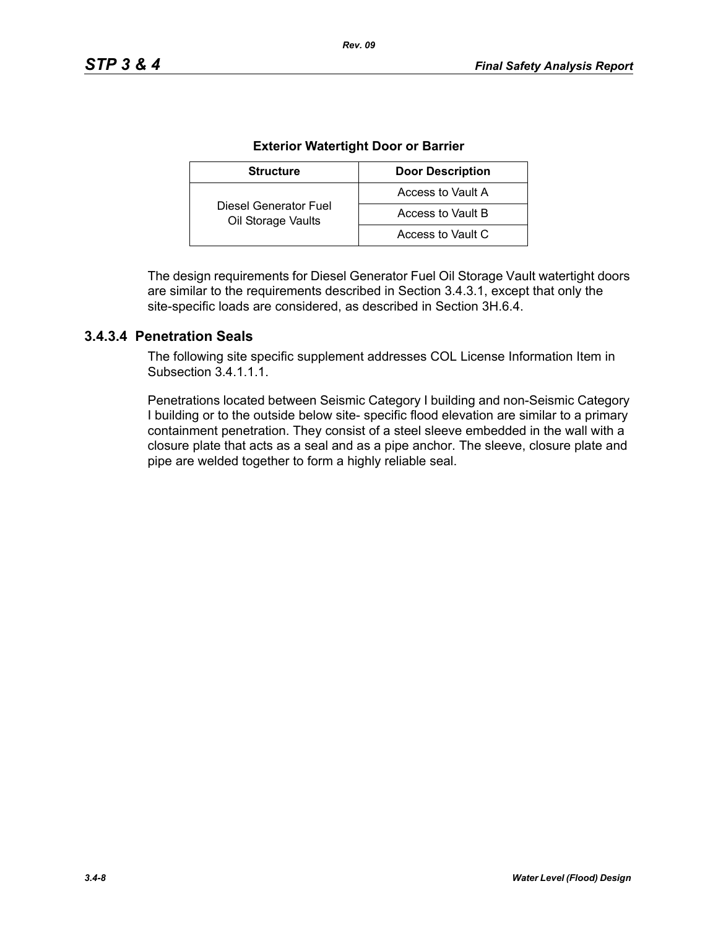| <b>Structure</b>                            | <b>Door Description</b> |  |  |
|---------------------------------------------|-------------------------|--|--|
|                                             | Access to Vault A       |  |  |
| Diesel Generator Fuel<br>Oil Storage Vaults | Access to Vault B       |  |  |
|                                             | Access to Vault C       |  |  |

#### **Exterior Watertight Door or Barrier**

*Rev. 09*

The design requirements for Diesel Generator Fuel Oil Storage Vault watertight doors are similar to the requirements described in Section 3.4.3.1, except that only the site-specific loads are considered, as described in Section 3H.6.4.

## **3.4.3.4 Penetration Seals**

The following site specific supplement addresses COL License Information Item in Subsection 34111

Penetrations located between Seismic Category I building and non-Seismic Category I building or to the outside below site- specific flood elevation are similar to a primary containment penetration. They consist of a steel sleeve embedded in the wall with a closure plate that acts as a seal and as a pipe anchor. The sleeve, closure plate and pipe are welded together to form a highly reliable seal.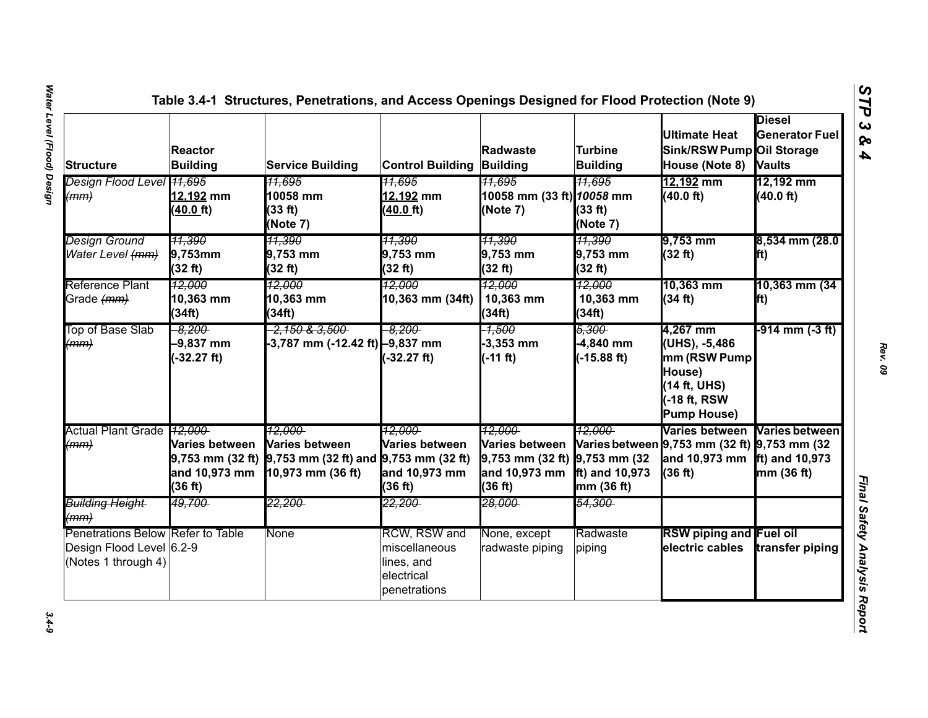| <b>Structure</b>                                                                     | <b>Reactor</b><br><b>Building</b>                                  | <b>Service Building</b>                                                                           | <b>Control Building Building</b>                                          | Radwaste                                                                              | Turbine<br><b>Building</b>                    | <b>Ultimate Heat</b><br>Sink/RSW Pump Oil Storage<br>House (Note 8)                                     | <b>Diesel</b><br><b>Generator Fuel</b><br><b>Vaults</b> |
|--------------------------------------------------------------------------------------|--------------------------------------------------------------------|---------------------------------------------------------------------------------------------------|---------------------------------------------------------------------------|---------------------------------------------------------------------------------------|-----------------------------------------------|---------------------------------------------------------------------------------------------------------|---------------------------------------------------------|
| Design Flood Level 41,695<br>(mm)                                                    | 12,192 mm<br>(40.0 ft)                                             | <del>11,695</del><br>10058 mm<br>(33 ft)<br>(Note 7)                                              | <del>11,695</del><br>12,192 mm<br>40.0 ft)                                | <u>11.695</u><br>10058 mm (33 ft) 10058 mm<br>(Note 7)                                | 11,695<br>(33 ft)<br>(Note 7)                 | 12,192 mm<br>(40.0 ft)                                                                                  | 12,192 mm<br>(40.0 ft)                                  |
| <b>Design Ground</b><br>Water Level (mm)                                             | <u>11,390</u><br>$9,753$ mm<br>(32 ft)                             | 11,390<br>9,753 mm<br>(32 ft)                                                                     | <u> 11,390</u><br>9,753 mm<br>(32 ft)                                     | <u>11,390</u><br>9,753 mm<br>(32 ft)                                                  | <u> 11,390</u><br>9,753 mm<br>(32 ft)         | 9,753 mm<br>(32 ft)                                                                                     | 8,534 mm (28.0<br>lft)                                  |
| Reference Plant<br>Grade (mm)                                                        | 12,000<br>10,363 mm<br>(34ft)                                      | 12.000<br>10,363 mm<br>(34ft)                                                                     | 12,000<br>10,363 mm (34ft)                                                | <u> 12,000</u><br>10,363 mm<br>(34ft)                                                 | 12,000<br>10,363 mm<br>(34ft)                 | 10,363 mm<br>(34 ft)                                                                                    | 10,363 mm (34<br>lft)                                   |
| Top of Base Slab<br>(mm)                                                             | $-8.200$<br>$-9,837$ mm<br>$-32.27$ ft)                            | <del>-2,150 &amp; 3,500 -</del><br>-3,787 mm (-12.42 ft) -9,837 mm                                | $-8.200$<br>$-32.27$ ft)                                                  | -1,500<br>$-3,353$ mm<br>$(-11 ft)$                                                   | 5,300<br>$-4,840$ mm<br>$(-15.88 \text{ ft})$ | 4,267 mm<br>(UHS), -5,486<br>mm (RSW Pump<br>House)<br>14 ft, UHS)<br>-18 ft, RSW<br><b>Pump House)</b> | -914 mm (-3 ft)                                         |
| Actual Plant Grade 12,000<br>(mm)                                                    | Varies between<br>$9,753$ mm $(32 ft)$<br>and 10,973 mm<br>(36 ft) | <u> 12.000-</u><br>Varies between<br>9,753 mm (32 ft) and $9,753$ mm (32 ft)<br>10,973 mm (36 ft) | 12.000<br><b>Varies between</b><br>and 10,973 mm<br>(36 ft)               | 12.000<br>Varies between<br>9,753 mm (32 ft) 9,753 mm (32<br>and 10,973 mm<br>(36 ft) | 12.000<br>ft) and 10,973<br>mm (36 ft)        | Varies between<br>Varies between 9,753 mm (32 ft) 9,753 mm (32<br>and 10,973 mm<br>(36 ft)              | Varies between<br>ft) and $10,973$<br>mm (36 ft)        |
| Building Height-<br>(mm)                                                             | <del>49,700-</del>                                                 | 22,200-                                                                                           | 22,200                                                                    | <del>28.000-</del>                                                                    | <del>54,300-</del>                            |                                                                                                         |                                                         |
| Penetrations Below Refer to Table<br>Design Flood Level 6.2-9<br>(Notes 1 through 4) |                                                                    | None                                                                                              | RCW, RSW and<br>miscellaneous<br>lines, and<br>electrical<br>penetrations | None, except<br>radwaste piping                                                       | Radwaste<br>piping                            | <b>RSW piping and Fuel oil</b><br>electric cables                                                       | transfer piping                                         |

*Rev. 09*

*STP 3 & 4*

 $3.4 - 9$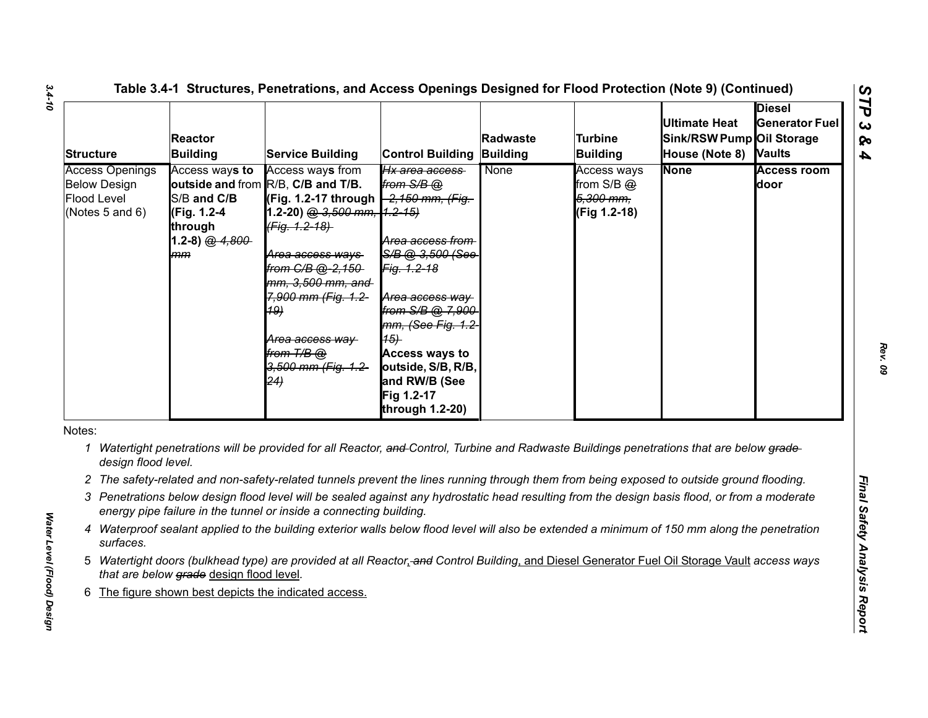| <b>Structure</b>                                                                | <b>Reactor</b><br><b>Building</b>                                                 | <b>Service Building</b>                                                                                                                                                                                                                                                                                                       | <b>Control Building</b>                                                                                                                                                                                                                                      | Radwaste<br>Building | <b>Turbine</b><br><b>Building</b>                          | <b>Ultimate Heat</b><br>Sink/RSW Pump Oil Storage<br>House (Note 8) Vaults | <b>Diesel</b><br><b>Generator Fuel</b> |
|---------------------------------------------------------------------------------|-----------------------------------------------------------------------------------|-------------------------------------------------------------------------------------------------------------------------------------------------------------------------------------------------------------------------------------------------------------------------------------------------------------------------------|--------------------------------------------------------------------------------------------------------------------------------------------------------------------------------------------------------------------------------------------------------------|----------------------|------------------------------------------------------------|----------------------------------------------------------------------------|----------------------------------------|
| <b>Access Openings</b><br><b>Below Design</b><br>Flood Level<br>(Notes 5 and 6) | Access ways to<br>S/B and C/B<br>(Fig. 1.2-4<br>through<br>1.2-8) $@.4.800$<br>mm | Access ways from<br>outside and from R/B, C/B and T/B.<br>(Fig. 1.2-17 through -2,150 mm, (Fig.<br>1.2-20) @ 3,500 mm, 1.2-15)<br>(Fig. 1.2-18)<br><del>Area access ways</del><br>from C/B @-2,150-<br>mm, 3,500 mm, and<br>7,900 mm (Fig. 1.2-<br><b>19)</b><br>Area access way<br>from T/B @<br>3,500 mm (Fig. 1.2-<br>(24) | Hx area access<br>from $S/B$ $@$<br>Area access from<br>S/B @ 3.500 (See<br>Fig. 1.2-18<br>Area access way<br>from S/B @ 7,900<br>mm, (See Fig. 1.2<br>(15)<br><b>Access ways to</b><br>outside, S/B, R/B,<br>and RW/B (See<br>Fig 1.2-17<br>through 1.2-20) | None                 | Access ways<br>from $S/B$ $@$<br>5,300 mm,<br>(Fig 1.2-18) | <b>None</b>                                                                | <b>Access room</b><br>door             |
| Notes:<br>1<br>design flood level.                                              |                                                                                   | Watertight penetrations will be provided for all Reactor, and Control, Turbine and Radwaste Buildings penetrations that are below grade-                                                                                                                                                                                      |                                                                                                                                                                                                                                                              |                      |                                                            |                                                                            |                                        |
|                                                                                 |                                                                                   | 2 The safety-related and non-safety-related tunnels prevent the lines running through them from being exposed to outside ground flooding.                                                                                                                                                                                     |                                                                                                                                                                                                                                                              |                      |                                                            |                                                                            |                                        |
|                                                                                 |                                                                                   | 3 Penetrations below design flood level will be sealed against any hydrostatic head resulting from the design basis flood, or from a moderate<br>energy pipe failure in the tunnel or inside a connecting building.                                                                                                           |                                                                                                                                                                                                                                                              |                      |                                                            |                                                                            |                                        |
| 4<br>surfaces.                                                                  |                                                                                   | Waterproof sealant applied to the building exterior walls below flood level will also be extended a minimum of 150 mm along the penetration                                                                                                                                                                                   |                                                                                                                                                                                                                                                              |                      |                                                            |                                                                            |                                        |
|                                                                                 | that are below grade design flood level.                                          | 5 Watertight doors (bulkhead type) are provided at all Reactor, and Control Building, and Diesel Generator Fuel Oil Storage Vault access ways                                                                                                                                                                                 |                                                                                                                                                                                                                                                              |                      |                                                            |                                                                            |                                        |
|                                                                                 |                                                                                   |                                                                                                                                                                                                                                                                                                                               |                                                                                                                                                                                                                                                              |                      |                                                            |                                                                            |                                        |

- 
- 
- 
- 
- 
- 

*3.4-10*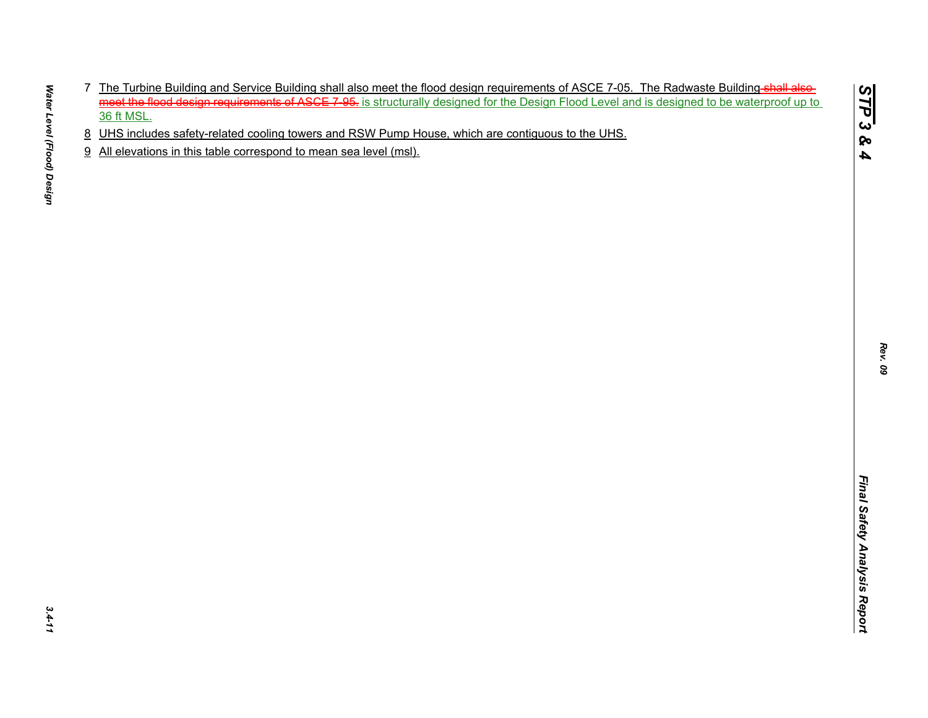- The Distribution Buriding and Service Building and all also meet the flood design inspection of ASCE 7.06. The Radioaste Suiding-shieles the state of the Control of the Distribution of Service In the Service of the UHS.<br>
2
- 
- 

*STP 3 & 4*